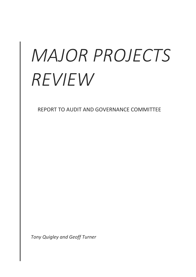# *MAJOR PROJECTS REVIEW*

REPORT TO AUDIT AND GOVERNANCE COMMITTEE

*Tony Quigley and Geoff Turner*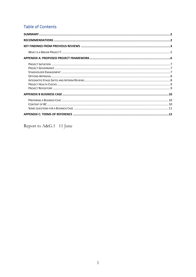# **Table of Contents**

Report to A&G.1 11 June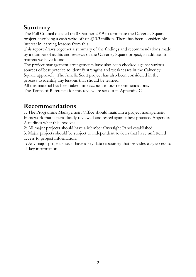# <span id="page-2-0"></span>**Summary**

The Full Council decided on 8 October 2019 to terminate the Calverley Square project, involving a cash write-off of  $f<sub>i</sub>10.3$  million. There has been considerable interest in learning lessons from this.

This report draws together a summary of the findings and recommendations made by a number of audits and reviews of the Calverley Square project, in addition to matters we have found.

The project management arrangements have also been checked against various sources of best practice to identify strengths and weaknesses in the Calverley Square approach. The Amelia Scott project has also been considered in the process to identify any lessons that should be learned.

All this material has been taken into account in our recommendations. The Terms of Reference for this review are set out in Appendix C.

# <span id="page-2-1"></span>**Recommendations**

1: The Programme Management Office should maintain a project management framework that is periodically reviewed and tested against best practice. Appendix A outlines what this involves.

2: All major projects should have a Member Oversight Panel established.

3: Major projects should be subject to independent reviews that have unfettered access to project information.

4: Any major project should have a key data repository that provides easy access to all key information.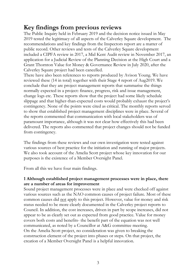# <span id="page-3-0"></span>**Key findings from previous reviews**

The Public Inquiry held in February 2019 and the decision notice issued in May 2019 tested the legitimacy of all aspects of the Calverley Square development. The recommendations and key findings from the Inspectors report are a matter of public record. Other reviews and tests of the Calverley Square development included a CIPFA review in 2017, a Mid Kent Audit review in November 2017, an application for a Judicial Review of the Planning Decision at the High Court and a Grant Thornton Value for Money & Governance Review in July 2020, after the Calverley Square project had been cancelled.

There have also been references to reports produced by Avison Young. We have reviewed these (14 in total) together with their Stage 4 report of Aug2019. We conclude that they are project management reports that summarise the things normally expected in a project: finance, progress, risk and issue management, change logs etc. These reports show that the project had some likely schedule slippage and that higher-than-expected costs would probably exhaust the project's contingency. None of the points were cited as critical. The monthly reports served to show that established project management disciplines were in place. Several of the reports commented that communication with local stakeholders was of paramount importance, although it was not clear how effectively this had been delivered. The reports also commented that project changes should not be funded from contingency.

The findings from these reviews and our own investigation were tested against various sources of best practice for the initiation and running of major projects. We also took account of the Amelia Scott project whose key innovation for our purposes is the existence of a Member Oversight Panel.

From all this we have four main findings.

#### **1 Although established project management processes were in place, there are a number of areas for improvement**

Sound project management processes were in place and were checked off against various sources such as the NAO common causes of project failure. Most of these common causes did not apply to this project. However, value for money and risk status needed to be more clearly documented in the Calverley project reports to Council. In addition, the cost increases, driven in part by scope increases, did not appear to be as clearly set out as expected from good practice. Value for money covers both costs and benefits- the benefit part of the equation was not well communicated, as noted by a Councillor at A&G committee meeting. On the Amelia Scott project, no consideration was given to breaking the construction element of the project into phases or steps. On that project, the creation of a Member Oversight Panel is a helpful innovation.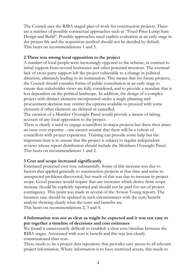The Council uses the RIBA staged plan of work for construction projects. There are a number of possible contractual approaches such as "Fixed Price Lump Sum Design and Build". Possible approaches need explicit evaluation at an early stage in the project life and the acquisition method should not be decided by default. This bears on recommendations 1 and 3.

# **2 There was strong local opposition to the project**

A number of local people were increasingly opposed to the scheme, in contrast to initial support from several businesses and other potential investors. The eventual lack of cross-party support left the project vulnerable to a change in political direction, ultimately leading to its termination. This means that for future projects, the Council should consider forms of public consultation at an early stage to ensure that stakeholder views are fully considered, and to provide a mandate that is less dependent on the political landscape. In addition, the design of a complex project with distinct elements incorporated under a single planning and procurement decision may restrict the options available to proceed with some elements if other elements are delayed or cancelled.

The creation of a Member Oversight Panel would provide a means of taking account of any local opposition to the project.

There is clearly a need to engage councillors in major projects but there then arises an issue over expertise - one cannot assume that there will be a cohort of councillors with project experience. Training can provide some help but the important item is to ensure that the project is subject to regular independent reviews whose report distribution should include the Members Oversight Panel. This bears on recommendations 1 and 2.

# **3 Cost and scope increased significantly**

Estimated projected cost rose substantially. Some of this increase was due to factors that applied generally to construction projects at that time and some to unexpected problems discovered, but much of this was due to increase in project scope. Good practice would require that any increases which derive from scope increase should be explicitly reported and should not be paid for out of project contingency. This point was made in several of the Avison Young reports. The business case should be updated in such circumstances with the cost/benefit analysis showing clearly what the costs and benefits are. This bears on recommendations 2, 3 and 4.

#### **4 Information was not as clear as might be expected and it was not easy to put together a timeline of decisions and cost estimates**

We found it unnecessarily difficult to establish a clear cost/timeline between the RIBA stages. Associated with cost is benefit and this was less clearly communicated than cost.

There needs to be a project data repository that provides easy access to all relevant project information. Where information is to have restricted access, this needs to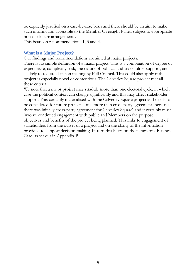be explicitly justified on a case-by-case basis and there should be an aim to make such information accessible to the Member Oversight Panel, subject to appropriate non-disclosure arrangements.

This bears on recommendations 1, 3 and 4.

#### <span id="page-5-0"></span>**What is a Major Project?**

Our findings and recommendations are aimed at major projects.

There is no simple definition of a major project. This is a combination of degree of expenditure, complexity, risk, the nature of political and stakeholder support, and is likely to require decision making by Full Council. This could also apply if the project is especially novel or contentious. The Calverley Square project met all these criteria.

We note that a major project may straddle more than one electoral cycle, in which case the political context can change significantly and this may affect stakeholder support. This certainly materialised with the Calverley Square project and needs to be considered for future projects - it is more than cross party agreement (because there was initially cross-party agreement for Calverley Square) and it certainly must involve continued engagement with public and Members on the purpose, objectives and benefits of the project being planned. This links to engagement of stakeholders from the outset of a project and on the clarity of the information provided to support decision making. In turn this bears on the nature of a Business Case, as set out in Appendix B.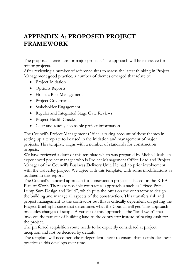# <span id="page-6-0"></span>**APPENDIX A: PROPOSED PROJECT FRAMEWORK**

The proposals herein are for major projects. The approach will be excessive for minor projects.

After reviewing a number of reference sites to assess the latest thinking in Project Management good practice, a number of themes emerged that relate to:

- Project Initiation
- Options Reports
- Holistic Risk Management
- Project Governance
- Stakeholder Engagement
- Regular and Integrated Stage Gate Reviews
- Project Health Checks
- Clear and readily accessible project information

The Council's Project Management Office is taking account of these themes in setting up a template to be used in the initiation and management of major projects. This template aligns with a number of standards for construction projects.

We have reviewed a draft of this template which was prepared by Michael Josh, an experienced project manager who is Project Management Office Lead and Project Manager of the Council's Business Delivery Unit. He had no prior involvement with the Calverley project. We agree with this template, with some modifications as outlined in this report.

The Council's standard approach for construction projects is based on the RIBA Plan of Work. There are possible contractual approaches such as "Fixed Price Lump Sum Design and Build", which puts the onus on the contractor to design the building and manage all aspects of the construction. This transfers risk and project management to the contractor but this is critically dependent on getting the Project Brief right since that determines what the Council will get. This approach precludes changes of scope. A variant of this approach is the "land swap" that involves the transfer of building land to the contractor instead of paying cash for the project.

The preferred acquisition route needs to be explicitly considered at project inception and not be decided by default.

The template will need periodic independent check to ensure that it embodies best practice as this develops over time.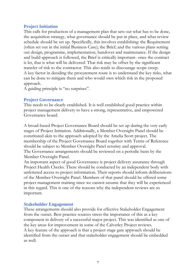#### <span id="page-7-0"></span>**Project Initiation**

This calls for production of a management plan that sets out what has to be done, the acquisition strategy, what governance should be put in place, and what review schedule should be set up. Specifically, this involves establishing: the Requirement (often set out in the initial Business Case); the Brief; and the various plans setting out design, programme, implementation, handover and maintenance. If the design and build approach is followed, the Brief is critically important- once the contract is let, that is what will be delivered. That risk may be offset by the significant transfer of risk to the contractor. This also tends to discourage scope creep. A key factor in deciding the procurement route is to understand the key risks, what can be done to mitigate them and who would own which risk in the proposed approach.

A guiding principle is "no surprises".

#### <span id="page-7-1"></span>**Project Governance**

This needs to be clearly established. It is well established good practice within project management delivery to have a strong, representative, and empowered Governance board.

A broad-based Project Governance Board should be set up during the very early stages of Project Initiation. Additionally, a Member Oversight Panel should be constituted akin to the approach adopted by the Amelia Scott project. The membership of the Project Governance Board together with Terms of Reference should be subject to Member Oversight Panel scrutiny and approval. The Governance arrangements should be reviewed on a periodic basis by the Member Oversight Panel.

An important aspect of good Governance is project delivery assurance through Project Health Checks. These should be conducted by an independent body with unfettered access to project information. Their reports should inform deliberations of the Member Oversight Panel. Members of that panel should be offered some project management training since we cannot assume that they will be experienced in this regard. This is one of the reasons why the independent reviews are so important.

#### <span id="page-7-2"></span>**Stakeholder Engagement**

These arrangements should also provide for effective Stakeholder Engagement from the outset. Best practice sources stress the importance of this as a key component in delivery of a successful major project. This was identified as one of the key areas for improvement in some of the Calverley Project reviews. A key feature of the approach is that a project stage gate approach should be identified from the outset and that stakeholder engagement should be embedded as well.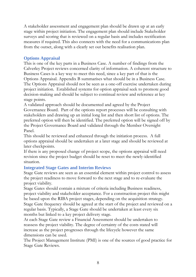A stakeholder assessment and engagement plan should be drawn up at an early stage within project initiation. The engagement plan should include Stakeholder surveys and scoring that is reviewed on a regular basis and includes rectification measures if required. This also connects with the need for a communications plan from the outset, along with a clearly set out benefits realisation plan.

#### <span id="page-8-0"></span>**Options Appraisal**

This is one of the key parts in a Business Case. A number of findings from the Calverley Project reviews concerned clarity of information. A coherent structure to Business Cases is a key way to meet this need, since a key part of that is the Options Appraisal. Appendix B summarises what should be in a Business Case. The Options Appraisal should not be seen as a one-off exercise undertaken during project initiation. Established systems for option appraisal seek to promote good decision-making and should be subject to continual review and reference at key stage points.

A validated approach should be documented and agreed by the Project Governance Board. Part of the options report processes will be consulting with stakeholders and drawing up an initial long list and then short list of options. The preferred option will then be identified. The preferred option will be signed off by the Project Governance Board and validated through the Member Oversight Panel.

This should be reviewed and enhanced through the initiation process. A full options appraisal should be undertaken at a later stage and should be reviewed at later checkpoints.

If there is any proposed change of project scope, the options appraisal will need revision since the project budget should be reset to meet the newly-identified situation.

#### <span id="page-8-1"></span>**Integrated Stage Gates and Interim Reviews**

Stage Gate reviews are seen as an essential element within project control to assess the project readiness to move forward to the next stage and to re-evaluate the project viability.

Stage Gates should contain a mixture of criteria including Business readiness, project viability and stakeholder acceptance. For a construction project this might be based upon the RIBA project stages, depending on the acquisition strategy. Stage Gate frequency should be agreed at the start of the project and reviewed on a regular basis. Typically, a Stage Gate should be undertaken at least every six months but linked to a key project delivery stage.

At each Stage Gate review a Financial Assessment should be undertaken to reassess the project viability. The degree of certainty of the costs stated will increase as the project progresses through the lifecycle however the same dimensions can be used.

The Project Management Institute (PMI) is one of the sources of good practice for Stage Gate Reviews.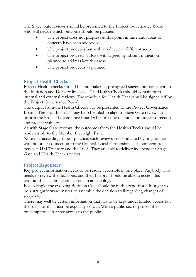The Stage Gate reviews should be presented to the Project Governance Board who will decide which outcome should be pursued:

- The project does not progress at this point in time until areas of concern have been addressed.
- The project proceeds but with a reduced or different scope.
- The project proceeds at Risk with agreed significant mitigation planned to address key risk areas.
- The project proceeds as planned.

# <span id="page-9-0"></span>**Project Health Checks**

Project Health checks should be undertaken at pre-agreed stages and points within the Initiation and Delivery lifecycle. The Health Checks should contain both internal and external reviews. The schedule for Health Checks will be signed off by the Project Governance Board.

The output from the Health Checks will be presented to the Project Governance Board. The Health checks may be scheduled to align to Stage Gate reviews to inform the Project Governance Board when making decisions on project direction and project viability.

As with Stage Gate reviews, the outcomes from the Health Checks should be made visible to the Member Oversight Panel.

Note that according to best practice, such reviews are conducted by organisations with no other connection to the Council. Local Partnerships is a joint venture between HM Treasury and the LGA. They are able to deliver independent Stage Gate and Health Check reviews.

# <span id="page-9-1"></span>**Project Repository**

Key project information needs to be readily accessible in one place. Anybody who needs to review the decisions, and their history, should be able to access this without this becoming an exercise in archaeology.

For example, the evolving Business Case should be in this repository. It ought to be a straightforward matter to assemble the decision trail regarding changes of scope etc.

There may well be certain information that has to be kept under limited access but the basis for this must be explicitly set out. With a public sector project the presumption is for free access to the public.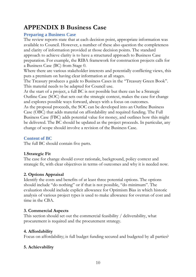# <span id="page-10-0"></span>**APPENDIX B Business Case**

# <span id="page-10-1"></span>**Preparing a Business Case**

The review reports state that at each decision point, appropriate information was available to Council. However, a number of these also question the completeness and clarity of information provided at those decision points. The standard approach to achieve clarity is to have a structured approach to Business Case preparation. For example, the RIBA framework for construction projects calls for a Business Case (BC) from Stage 0.

Where there are various stakeholder interests and potentially conflicting views, this puts a premium on having clear information at all stages.

The Treasury produces a guide to Business Cases in the "Treasury Green Book". This material needs to be adapted for Council use.

At the start of a project, a full BC is not possible but there can be a Strategic Outline Case (SOC) that sets out the strategic context, makes the case for change and explores possible ways forward, always with a focus on outcomes.

As the proposal proceeds, the SOC can be developed into an Outline Business Case (OBC) that adds material on affordability and required funding. The Full Business Case (FBC) adds potential value for money, and outlines how this might be delivered. The BC should be updated as the project proceeds. In particular, any change of scope should involve a revision of the Business Case.

#### <span id="page-10-2"></span>**Content of BC**

The full BC should contain five parts.

# **1.Strategic Fit**

The case for change should cover rationale, background, policy context and strategic fit, with clear objectives in terms of outcomes and why it is needed now.

# **2. Options Appraisal**

Identify the costs and benefits of at least three potential options. The options should include "do nothing" or if that is not possible, "do minimum". The evaluation should include explicit allowance for Optimism Bias in which historic analysis of various project types is used to make allowance for overrun of cost and time in the CBA.

# **3. Commercial Aspects**

This section should set out the commercial feasibility / deliverability, what procurement is required and the procurement strategy.

#### **4. Affordability**

Focus on affordability; is full budget funding secured and budgeted by all parties?

# **5. Achievability**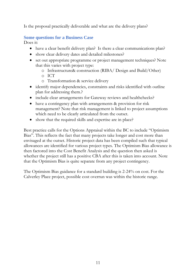Is the proposal practically deliverable and what are the delivery plans?

# <span id="page-11-0"></span>**Some questions for a Business Case**

Does it:

- have a clear benefit delivery plan? Is there a clear communications plan?
- show clear delivery dates and detailed milestones?
- set out appropriate programme or project management techniques? Note that this varies with project type:
	- o Infrastructure& construction (RIBA/ Design and Build/Other)
	- o ICT
	- o Transformation & service delivery
- identify major dependencies, constraints and risks identified with outline plan for addressing them.?
- include clear arrangements for Gateway reviews and healthchecks?
- have a contingency plan with arrangements & provision for risk management? Note that risk management is linked to project assumptions which need to be clearly articulated from the outset.
- show that the required skills and expertise are in place?

Best practice calls for the Options Appraisal within the BC to include "Optimism Bias". This reflects the fact that many projects take longer and cost more than envisaged at the outset. Historic project data has been compiled such that typical allowances are identified for various project types. The Optimism Bias allowance is then factored into the Cost Benefit Analysis and the question then asked is whether the project still has a positive CBA after this is taken into account. Note that the Optimism Bias is quite separate from any project contingency.

The Optimism Bias guidance for a standard building is 2-24% on cost. For the Calverley Place project, possible cost overrun was within the historic range.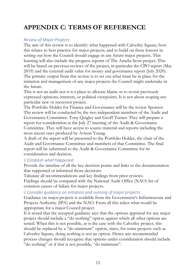# <span id="page-12-0"></span>**APPENDIX C: TERMS OF REFERENCE**

#### *Review of Major Projects*

The aim of this review is to identify: what happened with Calverley Square; how this relates to best practice for major projects; and to build on these lessons in setting out how the Council should engage in any future major projects. This learning will also include the progress reports of The Amelia Scott project. This will be based on previous reviews of the project, in particular the CPO report (May 2019) and the external audit value for money and governance report (July 2020). The primary output from this review is to set out what must be in place for the initiation and management of any major projects the Council might undertake in the future.

This is not an audit nor is it a place to allocate blame or to revisit previously expressed opinions, interests, or political viewpoints. It is not about scoping any particular new or successor project.

The Portfolio Holder for Finance and Governance will be the review Sponsor. The review will be conducted by the two independent members of the Audit and Governance Committee: Tony Quigley and Geoff Turner. They will prepare a report for consideration at the July 27 meeting of the Audit & Governance Committee. They will have access to source material and reports including the most recent ones produced by Avison Young.

A draft of the report will be presented to the Portfolio Holder, the chair of the Audit and Governance Committee and members of that Committee. The final report will be submitted to the Audit & Governance Committee for its consideration and decision.

# *1 Establish what happened.*

Provide the timeline of all the key decision points and links to the documentation that supported or informed those decisions.

Tabulate all recommendations and key findings from prior reviews. Findings should be compared with the National Audit Office (NAO) list of common causes of failure for major projects.

#### *2 Consider guidance on initiation and running of major projects.*

Guidance on major projects is available from the Government's Infrastructure and Projects Authority (IPA) and the NAO. From all this select what would be appropriate for a major Council project.

It is noted that the accepted guidance says that the options appraisal for any major project should include a "do nothing" option against which all other options are tested. When this is not possible, as is the case with the Calverley project, this should be replaced by a "do minimum" option, since, for some projects such as Calverley Square, doing nothing is not an option. Hence any recommended process changes should recognise that options under consideration should include "do nothing" or if that is not possible, "do minimum".